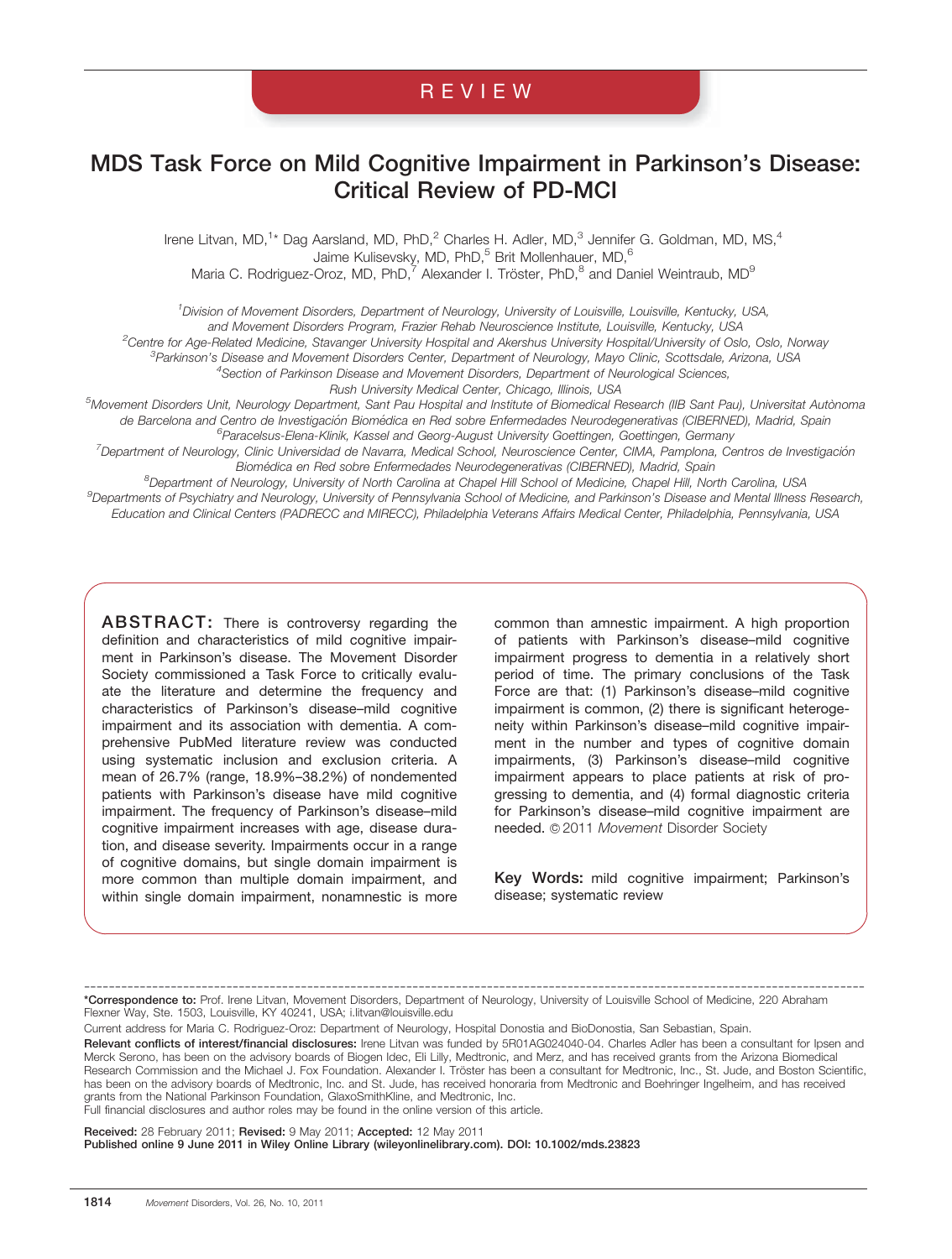# REVIEW

# MDS Task Force on Mild Cognitive Impairment in Parkinson's Disease: Critical Review of PD-MCI

Irene Litvan, MD,<sup>1</sup>\* Dag Aarsland, MD, PhD,<sup>2</sup> Charles H. Adler, MD,<sup>3</sup> Jennifer G. Goldman, MD, MS,<sup>4</sup> Jaime Kulisevsky, MD, PhD,<sup>5</sup> Brit Mollenhauer, MD,<sup>6</sup> Maria C. Rodriguez-Oroz, MD, PhD,<sup>7</sup> Alexander I. Tröster, PhD,<sup>8</sup> and Daniel Weintraub, MD<sup>9</sup>

<sup>1</sup> Division of Movement Disorders, Department of Neurology, University of Louisville, Louisville, Kentucky, USA,

and Movement Disorders Program, Frazier Rehab Neuroscience Institute, Louisville, Kentucky, USA

<sup>2</sup>Centre for Age-Related Medicine, Stavanger University Hospital and Akershus University Hospital/University of Oslo, Oslo, Norway<br><sup>3</sup> Parkinson's Disease and Movement Disorders Center, Department of Neurology, Mayo Clini

<sup>3</sup>Parkinson's Disease and Movement Disorders Center, Department of Neurology, Mayo Clinic, Scottsdale, Arizona, USA <sup>4</sup>Section of Parkinson Disease and Movement Disorders, Department of Neurological Sciences,

Rush University Medical Center, Chicago, Illinois, USA

<sup>5</sup>Movement Disorders Unit, Neurology Department, Sant Pau Hospital and Institute of Biomedical Research (IIB Sant Pau), Universitat Autònoma de Barcelona and Centro de Investigación Biomédica en Red sobre Enfermedades Neurodegenerativas (CIBERNED), Madrid, Spain <sup>6</sup>Paracelsus-Elena-Klinik, Kassel and Georg-August University Goettingen, Goettingen, Germany

<sup>7</sup>Department of Neurology, Clinic Universidad de Navarra, Medical School, Neuroscience Center, CIMA, Pamplona, Centros de Investigación Biomédica en Red sobre Enfermedades Neurodegenerativas (CIBERNED), Madrid, Spain

8 Department of Neurology, University of North Carolina at Chapel Hill School of Medicine, Chapel Hill, North Carolina, USA 9 Departments of Psychiatry and Neurology, University of Pennsylvania School of Medicine, and Parkinson's Disease and Mental Illness Research, Education and Clinical Centers (PADRECC and MIRECC), Philadelphia Veterans Affairs Medical Center, Philadelphia, Pennsylvania, USA

ABSTRACT: There is controversy regarding the definition and characteristics of mild cognitive impairment in Parkinson's disease. The Movement Disorder Society commissioned a Task Force to critically evaluate the literature and determine the frequency and characteristics of Parkinson's disease–mild cognitive impairment and its association with dementia. A comprehensive PubMed literature review was conducted using systematic inclusion and exclusion criteria. A mean of 26.7% (range, 18.9%–38.2%) of nondemented patients with Parkinson's disease have mild coanitive impairment. The frequency of Parkinson's disease–mild cognitive impairment increases with age, disease duration, and disease severity. Impairments occur in a range of cognitive domains, but single domain impairment is more common than multiple domain impairment, and within single domain impairment, nonamnestic is more

common than amnestic impairment. A high proportion of patients with Parkinson's disease–mild cognitive impairment progress to dementia in a relatively short period of time. The primary conclusions of the Task Force are that: (1) Parkinson's disease–mild cognitive impairment is common, (2) there is significant heterogeneity within Parkinson's disease–mild cognitive impairment in the number and types of cognitive domain impairments, (3) Parkinson's disease–mild cognitive impairment appears to place patients at risk of progressing to dementia, and (4) formal diagnostic criteria for Parkinson's disease–mild cognitive impairment are needed. @2011 Movement Disorder Society

Key Words: mild cognitive impairment; Parkinson's disease; systematic review

------------------------------------------------------------------------------------------------------------------------------ \*Correspondence to: Prof. Irene Litvan, Movement Disorders, Department of Neurology, University of Louisville School of Medicine, 220 Abraham Flexner Way, Ste. 1503, Louisville, KY 40241, USA; i.litvan@louisville.edu

Current address for Maria C. Rodriguez-Oroz: Department of Neurology, Hospital Donostia and BioDonostia, San Sebastian, Spain.

Relevant conflicts of interest/financial disclosures: Irene Litvan was funded by 5R01AG024040-04. Charles Adler has been a consultant for Ipsen and Merck Serono, has been on the advisory boards of Biogen Idec, Eli Lilly, Medtronic, and Merz, and has received grants from the Arizona Biomedical Research Commission and the Michael J. Fox Foundation. Alexander I. Tröster has been a consultant for Medtronic, Inc., St. Jude, and Boston Scientific, has been on the advisory boards of Medtronic, Inc. and St. Jude, has received honoraria from Medtronic and Boehringer Ingelheim, and has received grants from the National Parkinson Foundation, GlaxoSmithKline, and Medtronic, Inc.

Full financial disclosures and author roles may be found in the online version of this article.

Received: 28 February 2011; Revised: 9 May 2011; Accepted: 12 May 2011 Published online 9 June 2011 in Wiley Online Library (wileyonlinelibrary.com). DOI: 10.1002/mds.23823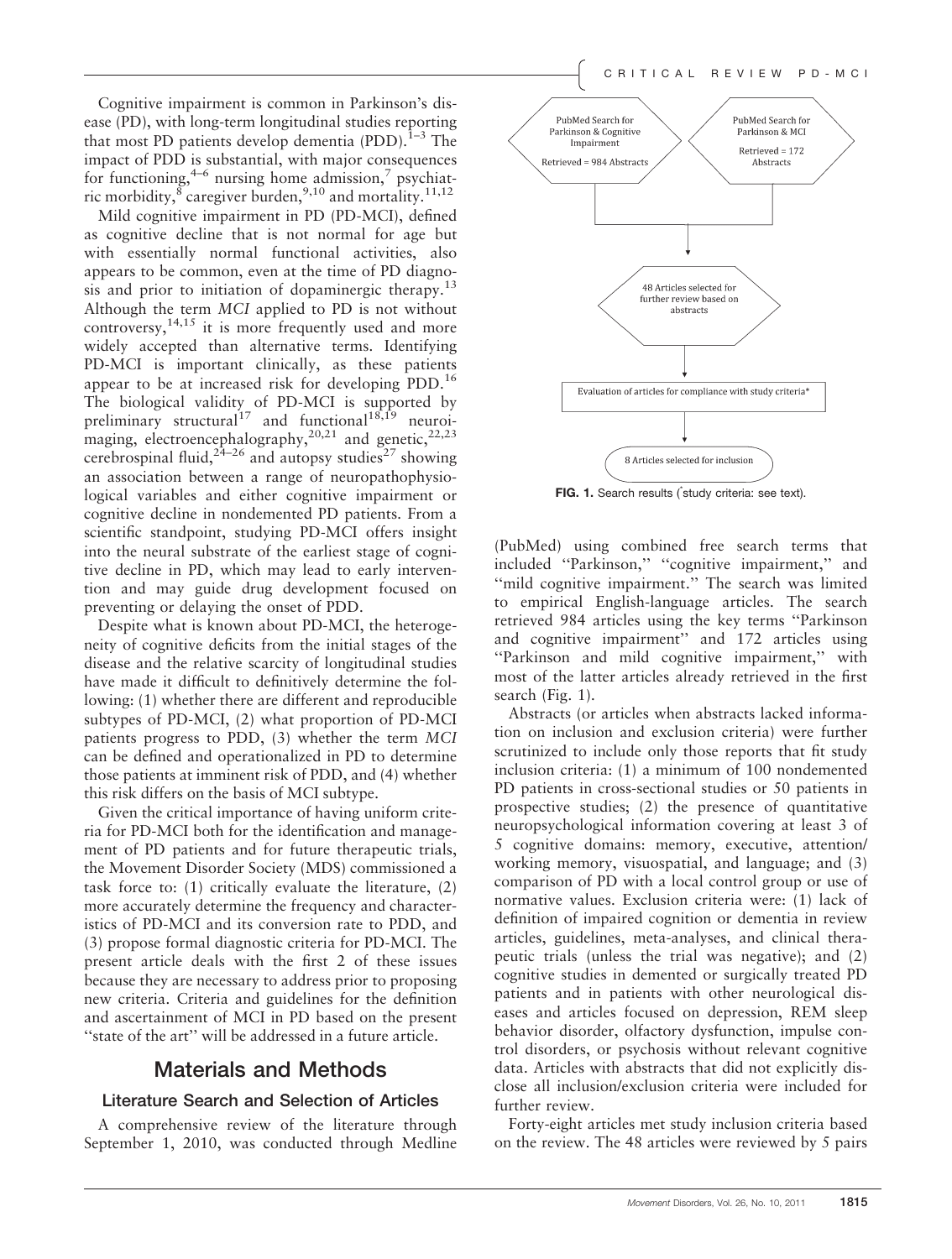Cognitive impairment is common in Parkinson's disease (PD), with long-term longitudinal studies reporting that most PD patients develop dementia (PDD). $1-3$  The impact of PDD is substantial, with major consequences for functioning,  $4-6$  nursing home admission,<sup>7</sup> psychiatric morbidity,  $8^{\circ}$  caregiver burden,  $9,10^{\circ}$  and mortality.  $11,12$ 

Mild cognitive impairment in PD (PD-MCI), defined as cognitive decline that is not normal for age but with essentially normal functional activities, also appears to be common, even at the time of PD diagnosis and prior to initiation of dopaminergic therapy.<sup>13</sup> Although the term MCI applied to PD is not without controversy,<sup>14,15</sup> it is more frequently used and more widely accepted than alternative terms. Identifying PD-MCI is important clinically, as these patients appear to be at increased risk for developing PDD.16 The biological validity of PD-MCI is supported by preliminary structural<sup>17</sup> and functional<sup>18,19</sup> neuroimaging, electroencephalography,<sup>20,21</sup> and genetic,<sup>22,23</sup> cerebrospinal fluid, $2^{4-26}$  and autopsy studies<sup>27</sup> showing an association between a range of neuropathophysiological variables and either cognitive impairment or cognitive decline in nondemented PD patients. From a scientific standpoint, studying PD-MCI offers insight into the neural substrate of the earliest stage of cognitive decline in PD, which may lead to early intervention and may guide drug development focused on preventing or delaying the onset of PDD.

Despite what is known about PD-MCI, the heterogeneity of cognitive deficits from the initial stages of the disease and the relative scarcity of longitudinal studies have made it difficult to definitively determine the following: (1) whether there are different and reproducible subtypes of PD-MCI, (2) what proportion of PD-MCI patients progress to PDD, (3) whether the term MCI can be defined and operationalized in PD to determine those patients at imminent risk of PDD, and (4) whether this risk differs on the basis of MCI subtype.

Given the critical importance of having uniform criteria for PD-MCI both for the identification and management of PD patients and for future therapeutic trials, the Movement Disorder Society (MDS) commissioned a task force to: (1) critically evaluate the literature, (2) more accurately determine the frequency and characteristics of PD-MCI and its conversion rate to PDD, and (3) propose formal diagnostic criteria for PD-MCI. The present article deals with the first 2 of these issues because they are necessary to address prior to proposing new criteria. Criteria and guidelines for the definition and ascertainment of MCI in PD based on the present ''state of the art'' will be addressed in a future article.

# Materials and Methods

## Literature Search and Selection of Articles

A comprehensive review of the literature through September 1, 2010, was conducted through Medline



FIG. 1. Search results ('study criteria: see text).

(PubMed) using combined free search terms that included ''Parkinson,'' ''cognitive impairment,'' and "mild cognitive impairment." The search was limited to empirical English-language articles. The search retrieved 984 articles using the key terms ''Parkinson and cognitive impairment'' and 172 articles using ''Parkinson and mild cognitive impairment,'' with most of the latter articles already retrieved in the first search (Fig. 1).

Abstracts (or articles when abstracts lacked information on inclusion and exclusion criteria) were further scrutinized to include only those reports that fit study inclusion criteria: (1) a minimum of 100 nondemented PD patients in cross-sectional studies or 50 patients in prospective studies; (2) the presence of quantitative neuropsychological information covering at least 3 of 5 cognitive domains: memory, executive, attention/ working memory, visuospatial, and language; and (3) comparison of PD with a local control group or use of normative values. Exclusion criteria were: (1) lack of definition of impaired cognition or dementia in review articles, guidelines, meta-analyses, and clinical therapeutic trials (unless the trial was negative); and (2) cognitive studies in demented or surgically treated PD patients and in patients with other neurological diseases and articles focused on depression, REM sleep behavior disorder, olfactory dysfunction, impulse control disorders, or psychosis without relevant cognitive data. Articles with abstracts that did not explicitly disclose all inclusion/exclusion criteria were included for further review.

Forty-eight articles met study inclusion criteria based on the review. The 48 articles were reviewed by 5 pairs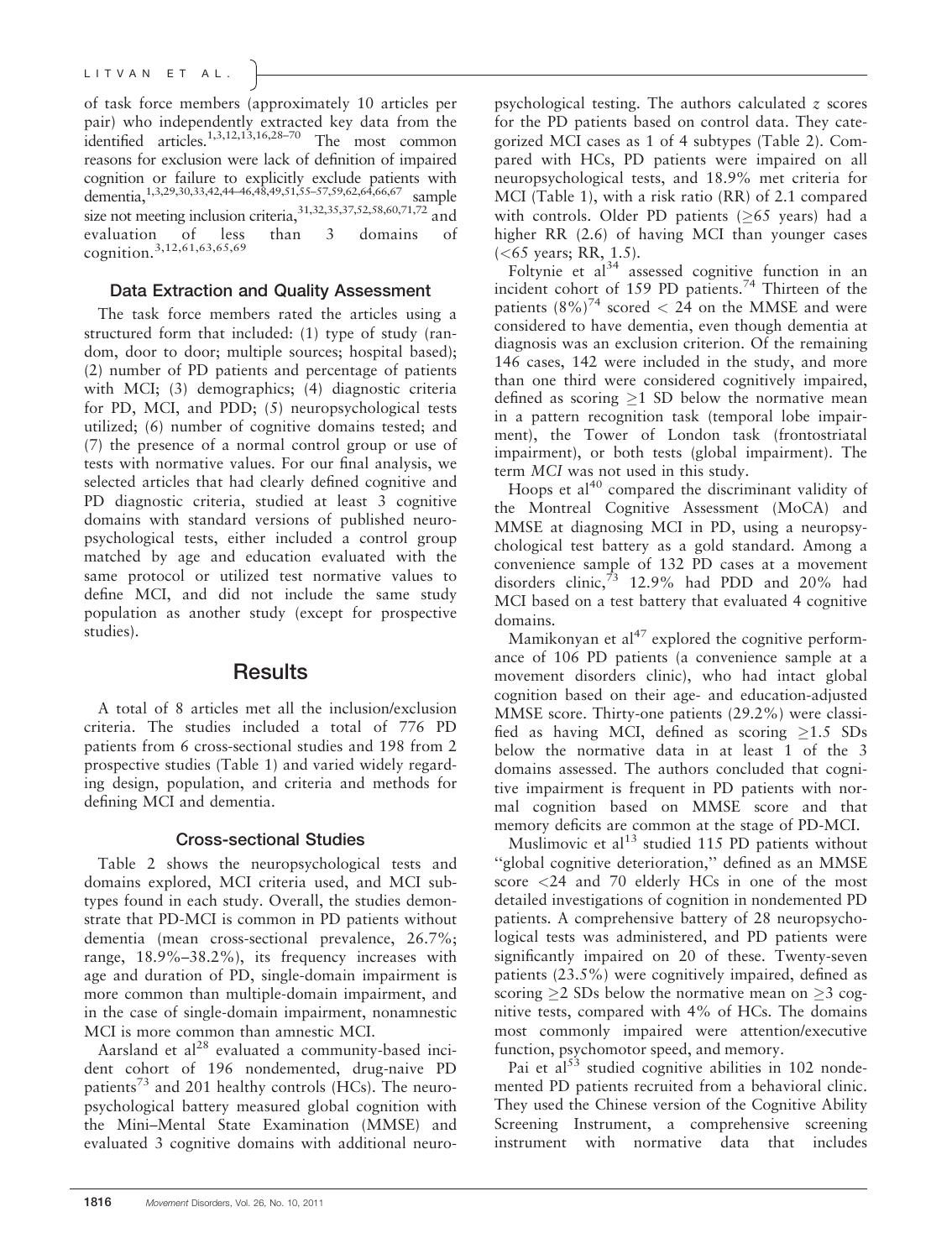of task force members (approximately 10 articles per pair) who independently extracted key data from the identified articles.<sup>1,3,12,13,16,28–70</sup> The most common reasons for exclusion were lack of definition of impaired cognition or failure to explicitly exclude patients with dementia,1,3,29,30,33,42,44–46,48,49,51,55–57,59,62,64,66,67 sample size not meeting inclusion criteria,<sup>31,32,35,37,52,58,60,71,72</sup> and evaluation of less than 3 domains of cognition.<sup>3,12,61,63,65,69</sup>

## Data Extraction and Quality Assessment

The task force members rated the articles using a structured form that included: (1) type of study (random, door to door; multiple sources; hospital based); (2) number of PD patients and percentage of patients with MCI; (3) demographics; (4) diagnostic criteria for PD, MCI, and PDD; (5) neuropsychological tests utilized; (6) number of cognitive domains tested; and (7) the presence of a normal control group or use of tests with normative values. For our final analysis, we selected articles that had clearly defined cognitive and PD diagnostic criteria, studied at least 3 cognitive domains with standard versions of published neuropsychological tests, either included a control group matched by age and education evaluated with the same protocol or utilized test normative values to define MCI, and did not include the same study population as another study (except for prospective studies).

# **Results**

A total of 8 articles met all the inclusion/exclusion criteria. The studies included a total of 776 PD patients from 6 cross-sectional studies and 198 from 2 prospective studies (Table 1) and varied widely regarding design, population, and criteria and methods for defining MCI and dementia.

#### Cross-sectional Studies

Table 2 shows the neuropsychological tests and domains explored, MCI criteria used, and MCI subtypes found in each study. Overall, the studies demonstrate that PD-MCI is common in PD patients without dementia (mean cross-sectional prevalence, 26.7%; range, 18.9%–38.2%), its frequency increases with age and duration of PD, single-domain impairment is more common than multiple-domain impairment, and in the case of single-domain impairment, nonamnestic MCI is more common than amnestic MCI.

Aarsland et  $al^{28}$  evaluated a community-based incident cohort of 196 nondemented, drug-naive PD patients<sup>73</sup> and 201 healthy controls (HCs). The neuropsychological battery measured global cognition with the Mini–Mental State Examination (MMSE) and evaluated 3 cognitive domains with additional neuro-

psychological testing. The authors calculated  $z$  scores for the PD patients based on control data. They categorized MCI cases as 1 of 4 subtypes (Table 2). Compared with HCs, PD patients were impaired on all neuropsychological tests, and 18.9% met criteria for MCI (Table 1), with a risk ratio (RR) of 2.1 compared with controls. Older PD patients ( $\geq 65$  years) had a higher RR (2.6) of having MCI than younger cases  $(<\,65$  years; RR, 1.5).

Foltynie et  $al^{34}$  assessed cognitive function in an incident cohort of 159 PD patients.<sup>74</sup> Thirteen of the patients  $(8\%)$ <sup>74</sup> scored < 24 on the MMSE and were considered to have dementia, even though dementia at diagnosis was an exclusion criterion. Of the remaining 146 cases, 142 were included in the study, and more than one third were considered cognitively impaired, defined as scoring  $>1$  SD below the normative mean in a pattern recognition task (temporal lobe impairment), the Tower of London task (frontostriatal impairment), or both tests (global impairment). The term MCI was not used in this study.

Hoops et  $al^{40}$  compared the discriminant validity of the Montreal Cognitive Assessment (MoCA) and MMSE at diagnosing MCI in PD, using a neuropsychological test battery as a gold standard. Among a convenience sample of 132 PD cases at a movement disorders clinic,  $\frac{1}{2}$  12.9% had PDD and 20% had MCI based on a test battery that evaluated 4 cognitive domains.

Mamikonyan et al $47$  explored the cognitive performance of 106 PD patients (a convenience sample at a movement disorders clinic), who had intact global cognition based on their age- and education-adjusted MMSE score. Thirty-one patients (29.2%) were classified as having MCI, defined as scoring  $\geq 1.5$  SDs below the normative data in at least 1 of the 3 domains assessed. The authors concluded that cognitive impairment is frequent in PD patients with normal cognition based on MMSE score and that memory deficits are common at the stage of PD-MCI.

Muslimovic et al $^{13}$  studied 115 PD patients without "global cognitive deterioration," defined as an MMSE score <24 and 70 elderly HCs in one of the most detailed investigations of cognition in nondemented PD patients. A comprehensive battery of 28 neuropsychological tests was administered, and PD patients were significantly impaired on 20 of these. Twenty-seven patients (23.5%) were cognitively impaired, defined as scoring  $\geq 2$  SDs below the normative mean on  $\geq 3$  cognitive tests, compared with 4% of HCs. The domains most commonly impaired were attention/executive function, psychomotor speed, and memory.

Pai et  $al<sup>53</sup>$  studied cognitive abilities in 102 nondemented PD patients recruited from a behavioral clinic. They used the Chinese version of the Cognitive Ability Screening Instrument, a comprehensive screening instrument with normative data that includes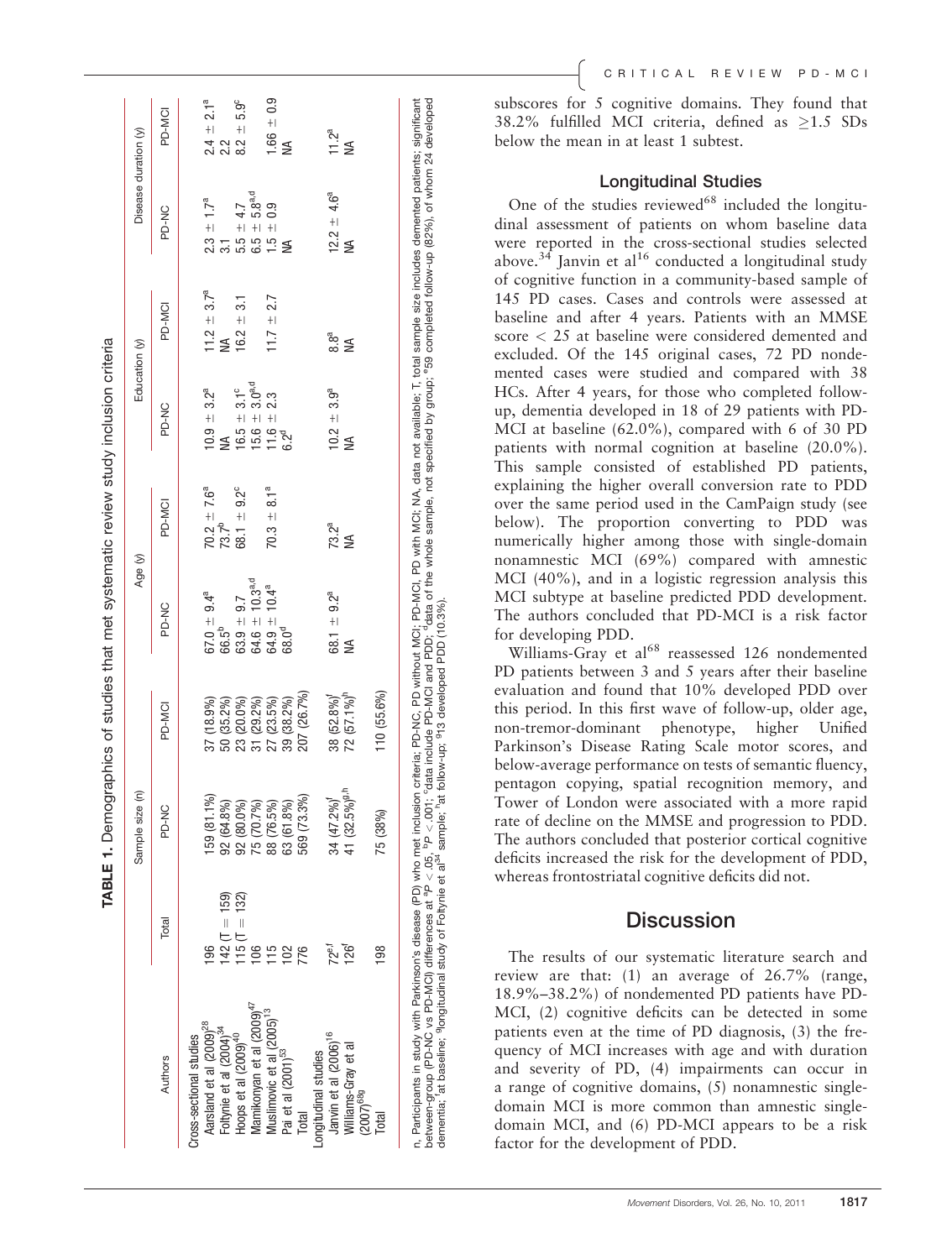|                                                |                 | Sample size (n)           |                         | Age (y)                        |                              | Education (y)        |                   | Disease duration (y) |                                  |
|------------------------------------------------|-----------------|---------------------------|-------------------------|--------------------------------|------------------------------|----------------------|-------------------|----------------------|----------------------------------|
| Authors                                        | Total           | PD-NC                     | PD-MCI                  | PD-NC                          | PD-MCI                       | PD-NC                | PD-MCI            | PD-NC                | PD-MCI                           |
| Cross-sectional studies                        |                 |                           |                         |                                |                              |                      |                   |                      |                                  |
| Aarsland et al (2009) <sup>28</sup>            | $\frac{6}{5}$   | 159 (81.1%)               | 37 (18.9%)              | $67.0 \pm 9.4^a$               | $70.2 \pm 7.6^a$<br>$73.7^b$ | $10.9 = 3.2^a$       | $11.2 \pm 3.7^a$  | $2.3 \pm 1.7^a$      | $2.4 \pm 2.1^a$                  |
| Foltynie et al (2004) <sup>34</sup>            | $142$ (T = 159) | 92 (64.8%)                | 50 (35.2%)              | 66.5 <sup>b</sup>              |                              | ≸                    | ≨                 |                      | 2.2                              |
| Hoops et al (2009) <sup>40</sup>               | $15($ T = 132)  | 92 (80.0%)                | 23 (20.0%)              | $63.9 - 9.7$                   | $9.2^{\circ}$<br>$68.1 +$    | $16.5 \pm 3.1^c$     | ಸ<br>$+1$<br>16.2 | $5.5 \pm 4.7$        | $5.9^c$<br>$+1$<br>$\frac{2}{8}$ |
| Mamikonyan et al (2009) <sup>47</sup>          | 106             | 75 (70.7%)                | 31 (29.2%)              | 64.6 $\pm$ 10.3 <sup>a,d</sup> |                              | $15.6 \pm 3.0^{a,d}$ |                   | $6.5 = 5.8^{a,d}$    |                                  |
| Muslimovic et al (2005) <sup>13</sup>          | $\frac{5}{10}$  | 88 (76.5%)                | 27 (23.5%)              | 64.9 $\pm$ 10.4 <sup>a</sup>   | $70.3 \pm 8.1^{a}$           | 23<br>$11.6 +$       | $11.7 \pm 2.7$    | $1.5 \pm 0.9$        | $1.66 = 0.9$                     |
| Pai et al (2001) <sup>53</sup>                 | 102             | 63 (61.8%)                | 39 (38.2%)              | 68.0 <sup>d</sup>              |                              | $6.2^{\circ}$        |                   | ≨                    | ≸                                |
| Total                                          | 776             | 569 (73.3%)               | 207 (26.7%)             |                                |                              |                      |                   |                      |                                  |
| Longitudinal studies                           |                 |                           |                         |                                |                              |                      |                   |                      |                                  |
| Janvin et al (2006) <sup>16</sup>              | 72°1            | 34 (47.2%) <sup>f</sup>   | 38 (52.8%) <sup>1</sup> | $68.1 - 9.2^a$                 | $73.2^a$                     | $10.2 \pm 3.9^a$     | $8.8^{\text{a}}$  | $12.2 \pm 4.6^a$     | $11.2^a$                         |
| Williams-Gray et al<br>$(2007)$ <sup>68g</sup> | 126             | 41 (32.5%) <sup>9,h</sup> | 72 (57.1%) <sup>h</sup> | ≨                              | ≨                            | $\frac{1}{2}$        | ≸                 | ≸                    | ₹                                |
|                                                | $\frac{8}{6}$   | 75 (38%)                  | 110 (55.6%)             |                                |                              |                      |                   |                      |                                  |

dementia; fat baseline; glongitudinal study of Foltynie et al34 sample; hat follow-up; g13 developed PDD (10.3%).

subscores for 5 cognitive domains. They found that  $38.2\%$  fulfilled MCI criteria, defined as  $>1.5$  SDs below the mean in at least 1 subtest.

#### Longitudinal Studies

One of the studies reviewed $68$  included the longitudinal assessment of patients on whom baseline data were reported in the cross-sectional studies selected above.<sup>34</sup> Janvin et al<sup>16</sup> conducted a longitudinal study of cognitive function in a community-based sample of 145 PD cases. Cases and controls were assessed at baseline and after 4 years. Patients with an MMSE score < 25 at baseline were considered demented and excluded. Of the 145 original cases, 72 PD nondemented cases were studied and compared with 38 HCs. After 4 years, for those who completed followup, dementia developed in 18 of 29 patients with PD-MCI at baseline (62.0%), compared with 6 of 30 PD patients with normal cognition at baseline (20.0%). This sample consisted of established PD patients, explaining the higher overall conversion rate to PDD over the same period used in the CamPaign study (see below). The proportion converting to PDD was numerically higher among those with single-domain nonamnestic MCI (69%) compared with amnestic MCI (40%), and in a logistic regression analysis this MCI subtype at baseline predicted PDD development. The authors concluded that PD-MCI is a risk factor for developing PDD.

Williams-Gray et al<sup>68</sup> reassessed 126 nondemented PD patients between 3 and 5 years after their baseline evaluation and found that 10% developed PDD over this period. In this first wave of follow-up, older age, non-tremor-dominant phenotype, higher Unified Parkinson's Disease Rating Scale motor scores, and below-average performance on tests of semantic fluency, pentagon copying, spatial recognition memory, and Tower of London were associated with a more rapid rate of decline on the MMSE and progression to PDD. The authors concluded that posterior cortical cognitive deficits increased the risk for the development of PDD, whereas frontostriatal cognitive deficits did not.

## **Discussion**

The results of our systematic literature search and review are that: (1) an average of 26.7% (range, 18.9%–38.2%) of nondemented PD patients have PD-MCI, (2) cognitive deficits can be detected in some patients even at the time of PD diagnosis, (3) the frequency of MCI increases with age and with duration and severity of PD, (4) impairments can occur in a range of cognitive domains, (5) nonamnestic singledomain MCI is more common than amnestic singledomain MCI, and (6) PD-MCI appears to be a risk factor for the development of PDD.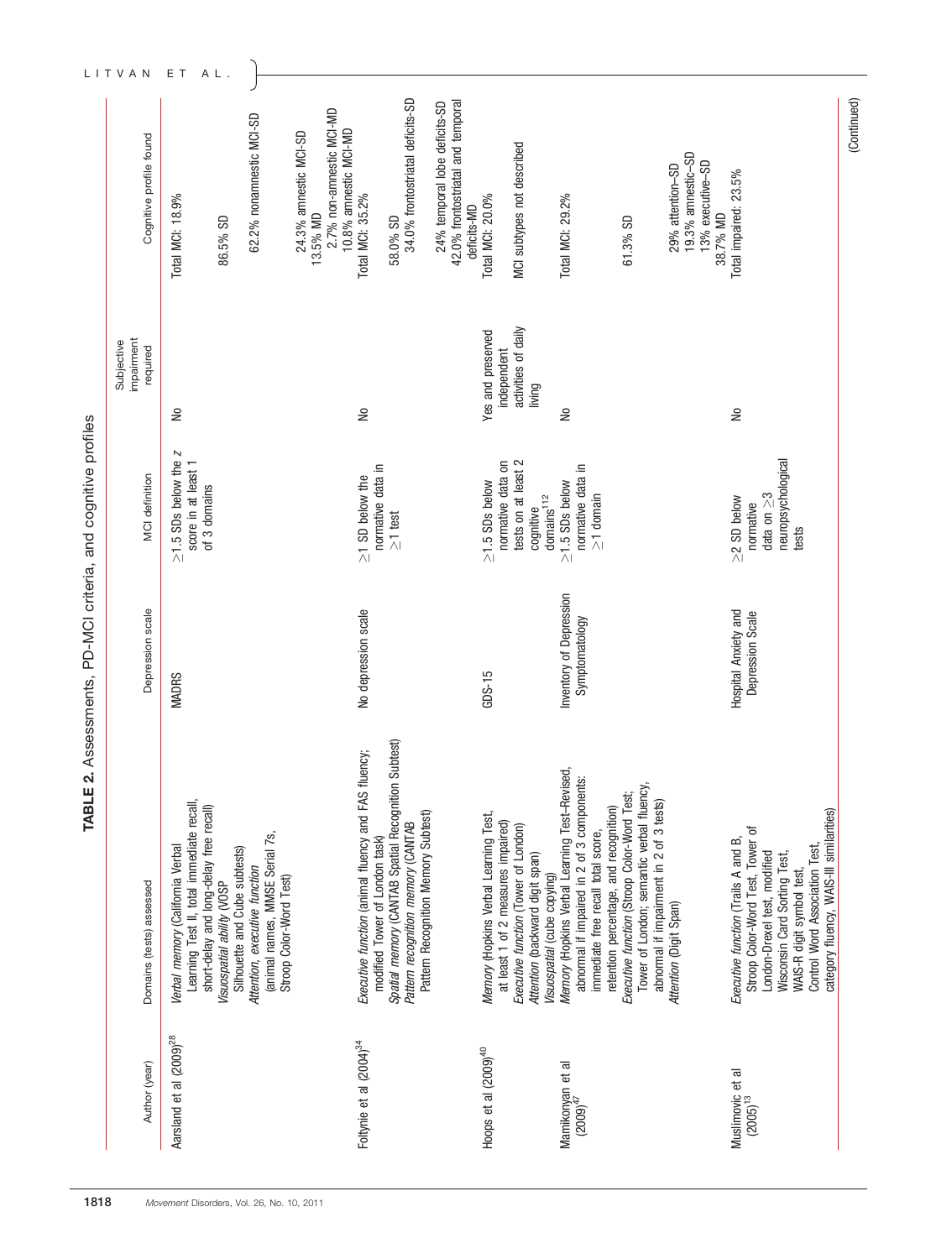| Author (year)                            | Domains (tests) assessed                                                                                                                                                                                                                                   | Depression scale                          | MCI definition                                                                                          | impairment<br>Subjective<br>required                              | Cognitive profile found                                                                                            |
|------------------------------------------|------------------------------------------------------------------------------------------------------------------------------------------------------------------------------------------------------------------------------------------------------------|-------------------------------------------|---------------------------------------------------------------------------------------------------------|-------------------------------------------------------------------|--------------------------------------------------------------------------------------------------------------------|
| Aarsland et al (2009) <sup>28</sup>      | Learning Test II, total immediate recall,<br>short-delay and long-delay free recall)<br>(animal names, MMSE Serial 7s,<br>Verbal memory (California Verbal<br>Silhouette and Cube subtests)<br>Attention, executive function<br>Visuospatial ability (VOSP | <b>MADRS</b>                              | $\overline{\phantom{a}}$<br>$\geq$ 1.5 SDs below the<br>score in at least 1<br>of 3 domains             | $\geq$                                                            | 62.2% nonamnestic MCI-SD<br>Total MCI: 18.9%<br>86.5% SD                                                           |
| Foltynie et al (2004) <sup>34</sup>      | Executive function (animal fluency and FAS fluency,<br>Stroop Color-Word Test)                                                                                                                                                                             | No depression scale                       | $\geq$ 1 SD below the                                                                                   | ₽                                                                 | 2.7% non-amnestic MCI-MD<br>10.8% amnestic MCI-MD<br>24.3% amnestic MCI-SD<br>Total MCI: 35.2%<br>13.5% MD         |
|                                          | Spatial memory (CANTAB Spatial Recognition Subtest)<br>Pattern Recognition Memory Subtest)<br>Pattern recognition memory (CANTAB<br>modified Tower of London task)                                                                                         |                                           | normative data in<br>$\geq$ 1 test                                                                      |                                                                   | 34.0% frontostriatal deficits-SD<br>24% temporal lobe deficits-SD<br>42.0% frontostriatal and temporal<br>58.0% SD |
| Hoops et al (2009) <sup>40</sup>         | Memory (Hopkins Verbal Learning Test,<br>at least 1 of 2 measures impaired)<br>Executive function (Tower of London)<br>Attention (backward digit span)<br>Visuospatial (cube copying)                                                                      | $GDS-15$                                  | tests on at least 2<br>normative data on<br>$\geq$ 1.5 SDs below<br>domains <sup>112</sup><br>cognitive | activities of daily<br>Yes and preserved<br>independent<br>living | MCI subtypes not described<br>Total MCI: 20.0%<br>deficits-MD                                                      |
| Mamikonyan et al<br>(2009) <sup>47</sup> | Memory (Hopkins Verbal Learning Test-Revised,<br>abnormal if impaired in 2 of 3 components:<br>retention percentage, and recognition)<br>immediate free recall total score,                                                                                | Inventory of Depression<br>Symptomatology | normative data in<br>$\geq$ 1.5 SDs below<br>$\geq$ 1 domain                                            | $\geq$                                                            | Total MCI: 29.2%                                                                                                   |
|                                          | Tower of London; semantic verbal fluency,<br>Executive function (Stroop Color-Word Test;<br>abnormal if impairment in 2 of 3 tests)<br>Attention (Digit Span)                                                                                              |                                           |                                                                                                         |                                                                   | 19.3% amnestic-SD<br>13% executive-SD<br>29% attention-SD<br>38.7% MD<br>61.3% SD                                  |
| Muslimovic et al<br>(2005) <sup>13</sup> | category fluency, WAIS-III similarities)<br>Stroop Color-Word Test, Tower of<br>Executive function (Trails A and B,<br>Control Word Association Test,<br>London-Drexel test, modified<br>Wisconsin Card Sorting Test,<br>WAIS-R digit symbol test,         | Hospital Anxiety and<br>Depression Scale  | neuropsychological<br>data on $\geq$ 3<br>$\geq$ 2 SD below<br>normative<br>tests                       | S                                                                 | Total impaired: 23.5%                                                                                              |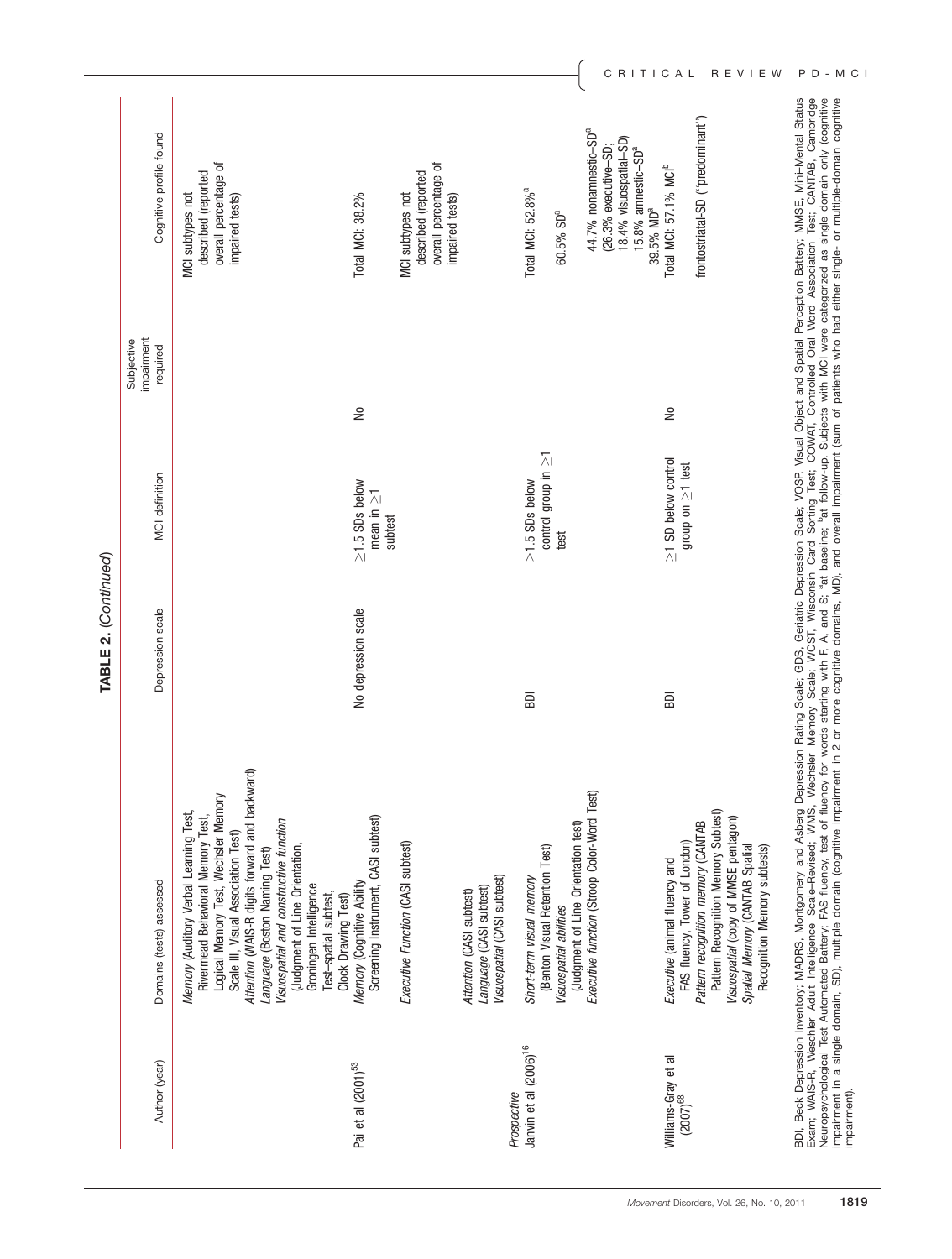| 44.7% nonamnestic-SD <sup>a</sup><br>Cognitive profile found<br>18.4% visuospatial-SD)<br>(26.3% executive-SD;<br>15.8% amnestic-SD <sup>a</sup><br>overall percentage of<br>overall percentage of<br>Total MCI: 57.1% MCIP<br>described (reported<br>described (reported<br>Total MCI: 52.8% <sup>a</sup><br>MCI subtypes not<br>Total MCI: 38.2%<br>MCI subtypes not<br>impaired tests)<br>impaired tests)<br>39.5% MD <sup>a</sup><br>60.5% SD <sup>a</sup><br>required<br>å<br>$\geq$<br>control group in $\geq 1$<br>$\geq$ 1 SD below control<br>group on $\geq 1$ test<br>MCI definition<br>$\geq$ 1.5 SDs below<br>$\geq$ 1.5 SDs below<br>mean in $\geq 1$<br>subtest<br>test<br>Depression scale<br>No depression scale<br>$\overline{5}$<br>BDI<br>Attention (WAIS-R digits forward and backward)<br>Executive function (Stroop Color-Word Test)<br>Logical Memory Test, Wechsler Memory<br>Memory (Auditory Verbal Learning Test,<br>Pattern Recognition Memory Subtest)<br>Screening Instrument, CASI subtest)<br>Rivermead Behavioral Memory Test,<br>Visuospatial (copy of MMSE pentagon)<br>Visuospatial and constructive function<br>Pattern recognition memory (CANTAB<br>(Judgment of Line Orientation test)<br>Scale III, Visual Association Test)<br>FAS fluency, Tower of London)<br>Executive Function (CASI subtest)<br>Spatial Memory (CANTAB Spatial<br>Judgment of Line Orientation,<br>Recognition Memory subtests)<br>(Benton Visual Retention Test)<br>Language (Boston Naming Test)<br>Executive (animal fluency and<br>Visuospatial (CASI subtest)<br>Short-term visual memory<br>Domains (tests) assessed<br>Memory (Cognitive Ability<br>Groningen Intelligence<br>Language (CASI subtest)<br>Test-spatial subtest,<br>Attention (CASI subtest)<br>Clock Drawing Test)<br>Visuospatial abilities<br>Janvin et al (2006) <sup>16</sup><br>Williams-Gray et al<br>Author (year)<br>Pai et al (2001) <sup>53</sup><br>Prospective<br>$(2007)^{68}$ |  | TABLE 2. (Continued) | impairment<br>Subjective |                                   |
|-----------------------------------------------------------------------------------------------------------------------------------------------------------------------------------------------------------------------------------------------------------------------------------------------------------------------------------------------------------------------------------------------------------------------------------------------------------------------------------------------------------------------------------------------------------------------------------------------------------------------------------------------------------------------------------------------------------------------------------------------------------------------------------------------------------------------------------------------------------------------------------------------------------------------------------------------------------------------------------------------------------------------------------------------------------------------------------------------------------------------------------------------------------------------------------------------------------------------------------------------------------------------------------------------------------------------------------------------------------------------------------------------------------------------------------------------------------------------------------------------------------------------------------------------------------------------------------------------------------------------------------------------------------------------------------------------------------------------------------------------------------------------------------------------------------------------------------------------------------------------------------------------------------------------------------------------------------------------------------|--|----------------------|--------------------------|-----------------------------------|
|                                                                                                                                                                                                                                                                                                                                                                                                                                                                                                                                                                                                                                                                                                                                                                                                                                                                                                                                                                                                                                                                                                                                                                                                                                                                                                                                                                                                                                                                                                                                                                                                                                                                                                                                                                                                                                                                                                                                                                                   |  |                      |                          |                                   |
|                                                                                                                                                                                                                                                                                                                                                                                                                                                                                                                                                                                                                                                                                                                                                                                                                                                                                                                                                                                                                                                                                                                                                                                                                                                                                                                                                                                                                                                                                                                                                                                                                                                                                                                                                                                                                                                                                                                                                                                   |  |                      |                          |                                   |
|                                                                                                                                                                                                                                                                                                                                                                                                                                                                                                                                                                                                                                                                                                                                                                                                                                                                                                                                                                                                                                                                                                                                                                                                                                                                                                                                                                                                                                                                                                                                                                                                                                                                                                                                                                                                                                                                                                                                                                                   |  |                      |                          |                                   |
|                                                                                                                                                                                                                                                                                                                                                                                                                                                                                                                                                                                                                                                                                                                                                                                                                                                                                                                                                                                                                                                                                                                                                                                                                                                                                                                                                                                                                                                                                                                                                                                                                                                                                                                                                                                                                                                                                                                                                                                   |  |                      |                          |                                   |
|                                                                                                                                                                                                                                                                                                                                                                                                                                                                                                                                                                                                                                                                                                                                                                                                                                                                                                                                                                                                                                                                                                                                                                                                                                                                                                                                                                                                                                                                                                                                                                                                                                                                                                                                                                                                                                                                                                                                                                                   |  |                      |                          |                                   |
|                                                                                                                                                                                                                                                                                                                                                                                                                                                                                                                                                                                                                                                                                                                                                                                                                                                                                                                                                                                                                                                                                                                                                                                                                                                                                                                                                                                                                                                                                                                                                                                                                                                                                                                                                                                                                                                                                                                                                                                   |  |                      |                          |                                   |
|                                                                                                                                                                                                                                                                                                                                                                                                                                                                                                                                                                                                                                                                                                                                                                                                                                                                                                                                                                                                                                                                                                                                                                                                                                                                                                                                                                                                                                                                                                                                                                                                                                                                                                                                                                                                                                                                                                                                                                                   |  |                      |                          | frontostriatal-SD ("predominant") |

 $\sqrt{ }$ 

CRITICAL REVIEW PD-MCI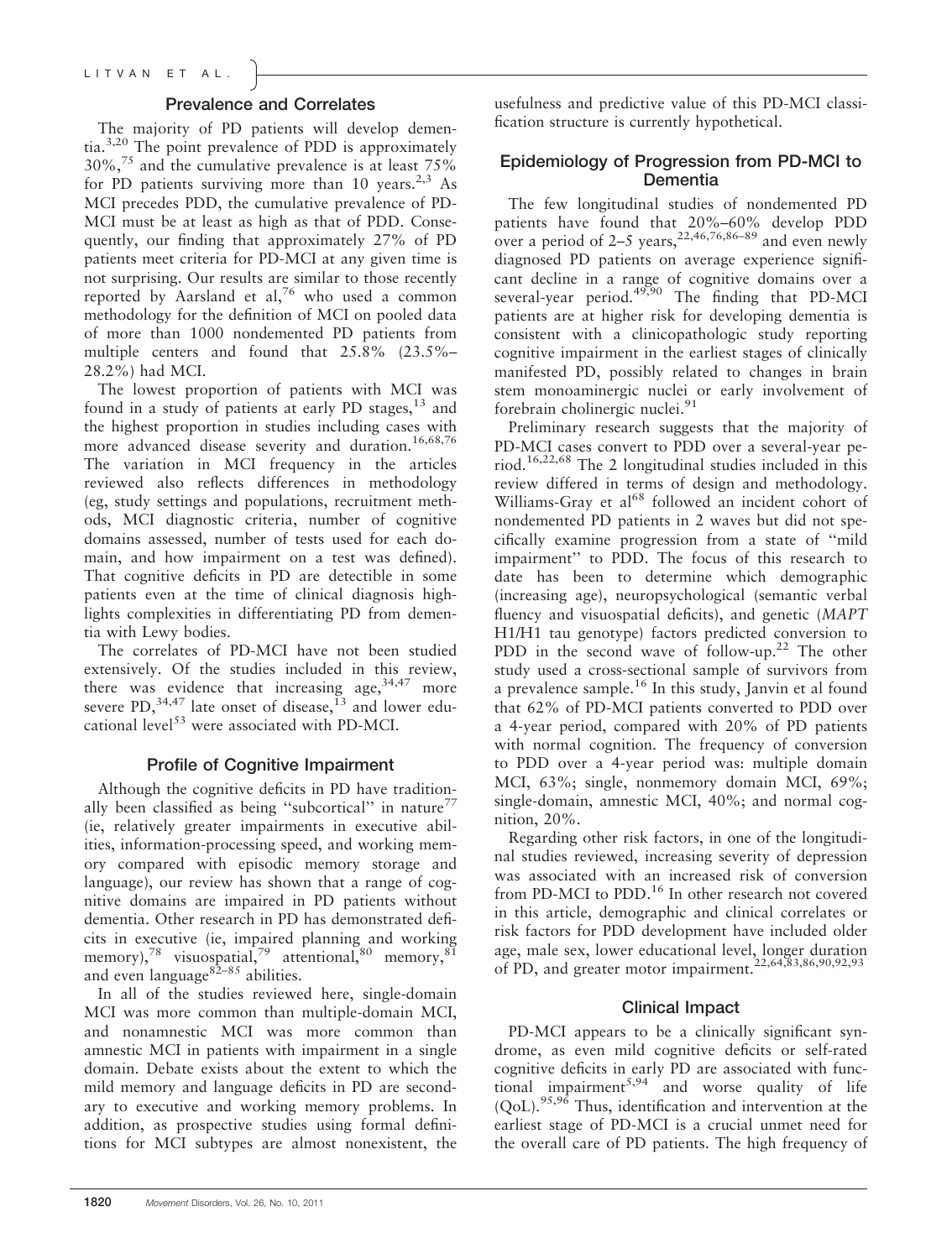#### Prevalence and Correlates

The majority of PD patients will develop dementia.3,20 The point prevalence of PDD is approximately  $30\%$ ,  $^{75}$  and the cumulative prevalence is at least 75% for PD patients surviving more than 10 years.<sup>2,3</sup> As MCI precedes PDD, the cumulative prevalence of PD-MCI must be at least as high as that of PDD. Consequently, our finding that approximately 27% of PD patients meet criteria for PD-MCI at any given time is not surprising. Our results are similar to those recently reported by Aarsland et al,<sup>76</sup> who used a common methodology for the definition of MCI on pooled data of more than 1000 nondemented PD patients from multiple centers and found that 25.8% (23.5%– 28.2%) had MCI.

The lowest proportion of patients with MCI was found in a study of patients at early PD stages,<sup>13</sup> and the highest proportion in studies including cases with more advanced disease severity and duration.<sup>16,68,76</sup> The variation in MCI frequency in the articles reviewed also reflects differences in methodology (eg, study settings and populations, recruitment methods, MCI diagnostic criteria, number of cognitive domains assessed, number of tests used for each domain, and how impairment on a test was defined). That cognitive deficits in PD are detectible in some patients even at the time of clinical diagnosis highlights complexities in differentiating PD from dementia with Lewy bodies.

The correlates of PD-MCI have not been studied extensively. Of the studies included in this review, there was evidence that increasing age,  $34,47$  more severe PD,  $34,47$  late onset of disease,  $^{13}$  and lower educational level<sup>53</sup> were associated with PD-MCI.

#### Profile of Cognitive Impairment

Although the cognitive deficits in PD have traditionally been classified as being "subcortical" in nature<sup>77</sup> (ie, relatively greater impairments in executive abilities, information-processing speed, and working memory compared with episodic memory storage and language), our review has shown that a range of cognitive domains are impaired in PD patients without dementia. Other research in PD has demonstrated deficits in executive (ie, impaired planning and working memory),<sup>78</sup> visuospatial,<sup>79</sup> attentional,<sup>80</sup> memory,<sup>81</sup> and even language $82-85$  abilities.

In all of the studies reviewed here, single-domain MCI was more common than multiple-domain MCI, and nonamnestic MCI was more common than amnestic MCI in patients with impairment in a single domain. Debate exists about the extent to which the mild memory and language deficits in PD are secondary to executive and working memory problems. In addition, as prospective studies using formal definitions for MCI subtypes are almost nonexistent, the usefulness and predictive value of this PD-MCI classification structure is currently hypothetical.

### Epidemiology of Progression from PD-MCI to **Dementia**

The few longitudinal studies of nondemented PD patients have found that 20%–60% develop PDD over a period of  $2-5$  years,<sup>22,46,76,86–89</sup> and even newly diagnosed PD patients on average experience significant decline in a range of cognitive domains over a several-year period.<sup>49,90</sup> The finding that PD-MCI patients are at higher risk for developing dementia is consistent with a clinicopathologic study reporting cognitive impairment in the earliest stages of clinically manifested PD, possibly related to changes in brain stem monoaminergic nuclei or early involvement of forebrain cholinergic nuclei.<sup>91</sup>

Preliminary research suggests that the majority of PD-MCI cases convert to PDD over a several-year period.16,22,68 The 2 longitudinal studies included in this review differed in terms of design and methodology. Williams-Gray et al<sup>68</sup> followed an incident cohort of nondemented PD patients in 2 waves but did not specifically examine progression from a state of ''mild impairment'' to PDD. The focus of this research to date has been to determine which demographic (increasing age), neuropsychological (semantic verbal fluency and visuospatial deficits), and genetic (MAPT H1/H1 tau genotype) factors predicted conversion to PDD in the second wave of follow-up.<sup>22</sup> The other study used a cross-sectional sample of survivors from a prevalence sample.<sup>16</sup> In this study, Janvin et al found that 62% of PD-MCI patients converted to PDD over a 4-year period, compared with 20% of PD patients with normal cognition. The frequency of conversion to PDD over a 4-year period was: multiple domain MCI, 63%; single, nonmemory domain MCI, 69%; single-domain, amnestic MCI, 40%; and normal cognition, 20%.

Regarding other risk factors, in one of the longitudinal studies reviewed, increasing severity of depression was associated with an increased risk of conversion from PD-MCI to PDD.<sup>16</sup> In other research not covered in this article, demographic and clinical correlates or risk factors for PDD development have included older age, male sex, lower educational level, longer duration of PD, and greater motor impairment.<sup>22,64,83,86,90,92,93</sup>

#### Clinical Impact

PD-MCI appears to be a clinically significant syndrome, as even mild cognitive deficits or self-rated cognitive deficits in early PD are associated with functional impairment<sup>5,94</sup> and worse quality of life  $(Od<sub>L</sub>)<sup>95,96</sup>$  Thus, identification and intervention at the earliest stage of PD-MCI is a crucial unmet need for the overall care of PD patients. The high frequency of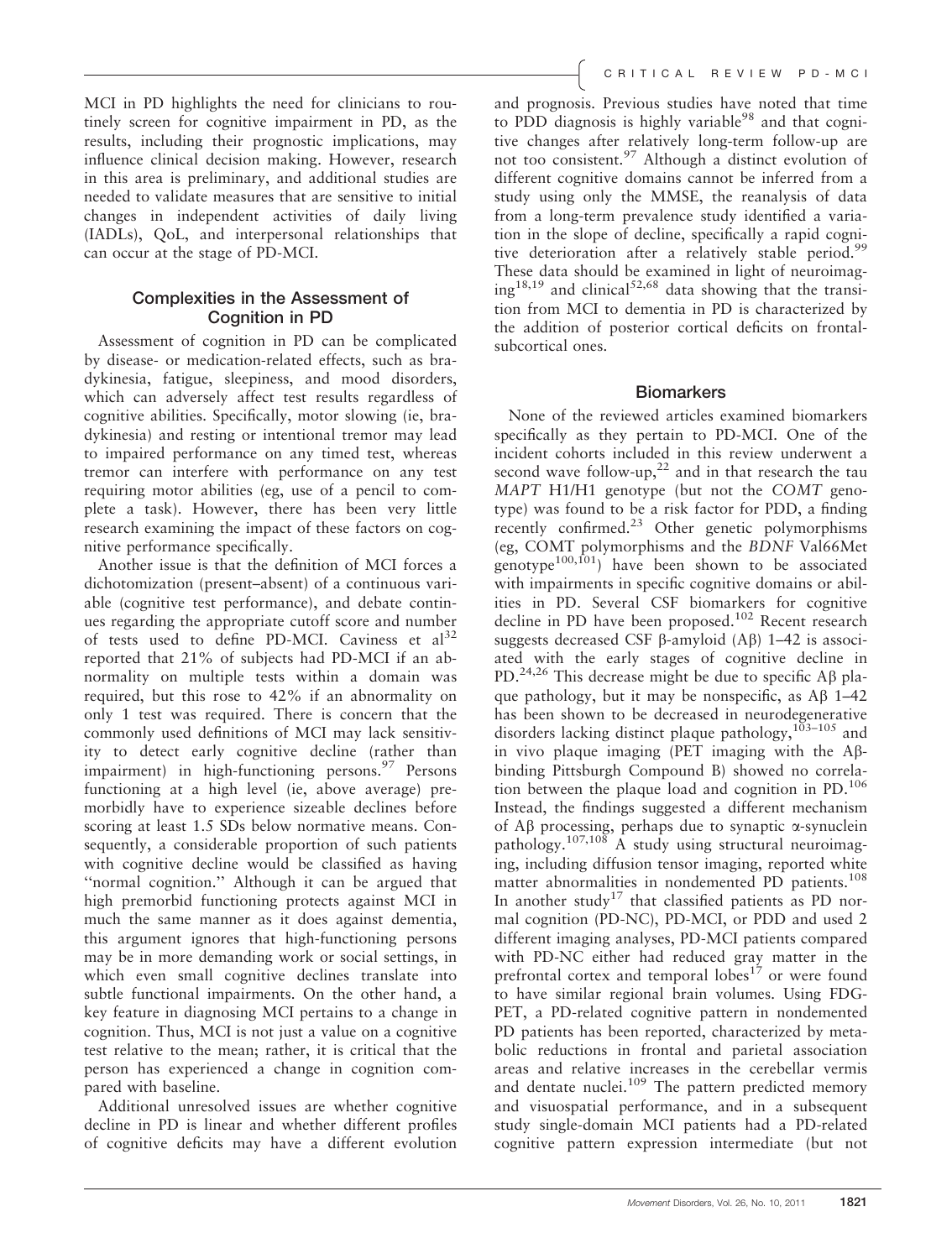MCI in PD highlights the need for clinicians to routinely screen for cognitive impairment in PD, as the results, including their prognostic implications, may influence clinical decision making. However, research in this area is preliminary, and additional studies are needed to validate measures that are sensitive to initial changes in independent activities of daily living (IADLs), QoL, and interpersonal relationships that can occur at the stage of PD-MCI.

## Complexities in the Assessment of Cognition in PD

Assessment of cognition in PD can be complicated by disease- or medication-related effects, such as bradykinesia, fatigue, sleepiness, and mood disorders, which can adversely affect test results regardless of cognitive abilities. Specifically, motor slowing (ie, bradykinesia) and resting or intentional tremor may lead to impaired performance on any timed test, whereas tremor can interfere with performance on any test requiring motor abilities (eg, use of a pencil to complete a task). However, there has been very little research examining the impact of these factors on cognitive performance specifically.

Another issue is that the definition of MCI forces a dichotomization (present–absent) of a continuous variable (cognitive test performance), and debate continues regarding the appropriate cutoff score and number of tests used to define PD-MCI. Caviness et  $al^{32}$ reported that 21% of subjects had PD-MCI if an abnormality on multiple tests within a domain was required, but this rose to 42% if an abnormality on only 1 test was required. There is concern that the commonly used definitions of MCI may lack sensitivity to detect early cognitive decline (rather than impairment) in high-functioning persons.<sup>97</sup> Persons functioning at a high level (ie, above average) premorbidly have to experience sizeable declines before scoring at least 1.5 SDs below normative means. Consequently, a considerable proportion of such patients with cognitive decline would be classified as having "normal cognition." Although it can be argued that high premorbid functioning protects against MCI in much the same manner as it does against dementia, this argument ignores that high-functioning persons may be in more demanding work or social settings, in which even small cognitive declines translate into subtle functional impairments. On the other hand, a key feature in diagnosing MCI pertains to a change in cognition. Thus, MCI is not just a value on a cognitive test relative to the mean; rather, it is critical that the person has experienced a change in cognition compared with baseline.

Additional unresolved issues are whether cognitive decline in PD is linear and whether different profiles of cognitive deficits may have a different evolution and prognosis. Previous studies have noted that time to PDD diagnosis is highly variable<sup>98</sup> and that cognitive changes after relatively long-term follow-up are not too consistent.<sup>97</sup> Although a distinct evolution of different cognitive domains cannot be inferred from a study using only the MMSE, the reanalysis of data from a long-term prevalence study identified a variation in the slope of decline, specifically a rapid cognitive deterioration after a relatively stable period.<sup>99</sup> These data should be examined in light of neuroimag $ing^{18,19}$  and clinical<sup>52,68</sup> data showing that the transition from MCI to dementia in PD is characterized by the addition of posterior cortical deficits on frontalsubcortical ones.

#### **Biomarkers**

None of the reviewed articles examined biomarkers specifically as they pertain to PD-MCI. One of the incident cohorts included in this review underwent a second wave follow-up, $22$  and in that research the tau MAPT H1/H1 genotype (but not the COMT genotype) was found to be a risk factor for PDD, a finding recently confirmed.<sup>23</sup> Other genetic polymorphisms (eg, COMT polymorphisms and the BDNF Val66Met genotype<sup>100,101</sup>) have been shown to be associated with impairments in specific cognitive domains or abilities in PD. Several CSF biomarkers for cognitive decline in PD have been proposed.<sup>102</sup> Recent research suggests decreased CSF  $\beta$ -amyloid (A $\beta$ ) 1–42 is associated with the early stages of cognitive decline in PD.<sup>24,26</sup> This decrease might be due to specific A $\beta$  plaque pathology, but it may be nonspecific, as  $AB \ 1-42$ has been shown to be decreased in neurodegenerative disorders lacking distinct plaque pathology,  $103-105$  and in vivo plaque imaging (PET imaging with the Abbinding Pittsburgh Compound B) showed no correlation between the plaque load and cognition in PD.<sup>106</sup> Instead, the findings suggested a different mechanism of  $\overrightarrow{AB}$  processing, perhaps due to synaptic  $\alpha$ -synuclein pathology.<sup>107,108</sup> A study using structural neuroimaging, including diffusion tensor imaging, reported white matter abnormalities in nondemented PD patients.<sup>108</sup> In another study<sup>17</sup> that classified patients as PD normal cognition (PD-NC), PD-MCI, or PDD and used 2 different imaging analyses, PD-MCI patients compared with PD-NC either had reduced gray matter in the prefrontal cortex and temporal  $\text{lobes}^{17}$  or were found to have similar regional brain volumes. Using FDG-PET, a PD-related cognitive pattern in nondemented PD patients has been reported, characterized by metabolic reductions in frontal and parietal association areas and relative increases in the cerebellar vermis and dentate nuclei.<sup>109</sup> The pattern predicted memory and visuospatial performance, and in a subsequent study single-domain MCI patients had a PD-related cognitive pattern expression intermediate (but not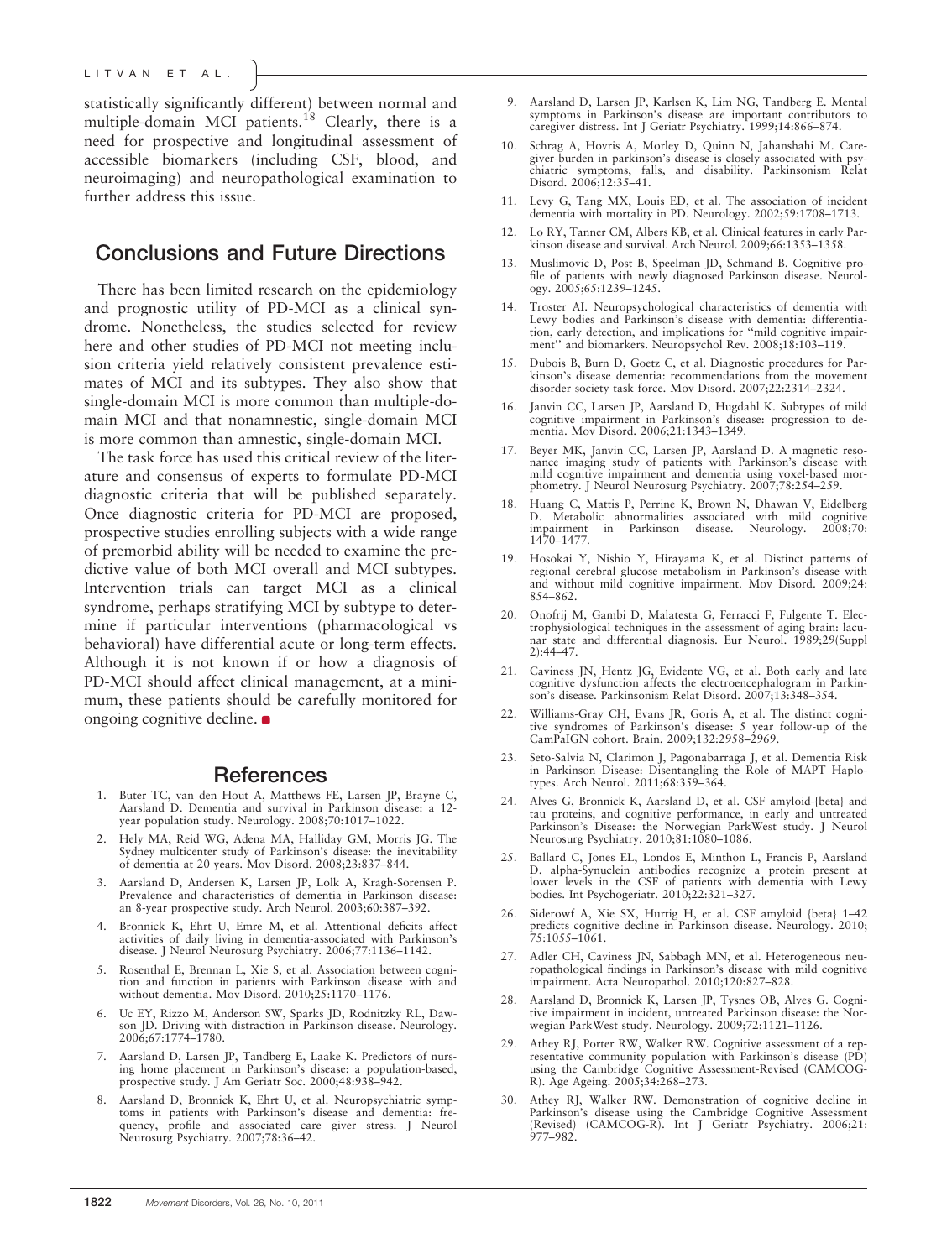statistically significantly different) between normal and multiple-domain MCI patients.<sup>18</sup> Clearly, there is a need for prospective and longitudinal assessment of accessible biomarkers (including CSF, blood, and neuroimaging) and neuropathological examination to further address this issue.

# Conclusions and Future Directions

There has been limited research on the epidemiology and prognostic utility of PD-MCI as a clinical syndrome. Nonetheless, the studies selected for review here and other studies of PD-MCI not meeting inclusion criteria yield relatively consistent prevalence estimates of MCI and its subtypes. They also show that single-domain MCI is more common than multiple-domain MCI and that nonamnestic, single-domain MCI is more common than amnestic, single-domain MCI.

The task force has used this critical review of the literature and consensus of experts to formulate PD-MCI diagnostic criteria that will be published separately. Once diagnostic criteria for PD-MCI are proposed, prospective studies enrolling subjects with a wide range of premorbid ability will be needed to examine the predictive value of both MCI overall and MCI subtypes. Intervention trials can target MCI as a clinical syndrome, perhaps stratifying MCI by subtype to determine if particular interventions (pharmacological vs behavioral) have differential acute or long-term effects. Although it is not known if or how a diagnosis of PD-MCI should affect clinical management, at a minimum, these patients should be carefully monitored for ongoing cognitive decline.

#### References

- 1. Buter TC, van den Hout A, Matthews FE, Larsen JP, Brayne C, Aarsland D. Dementia and survival in Parkinson disease: a 12 year population study. Neurology. 2008;70:1017–1022.
- 2. Hely MA, Reid WG, Adena MA, Halliday GM, Morris JG. The Sydney multicenter study of Parkinson's disease: the inevitability of dementia at 20 years. Mov Disord. 2008;23:837–844.
- 3. Aarsland D, Andersen K, Larsen JP, Lolk A, Kragh-Sorensen P. Prevalence and characteristics of dementia in Parkinson disease: an 8-year prospective study. Arch Neurol. 2003;60:387–392.
- 4. Bronnick K, Ehrt U, Emre M, et al. Attentional deficits affect activities of daily living in dementia-associated with Parkinson's disease. J Neurol Neurosurg Psychiatry. 2006;77:1136-1142.
- 5. Rosenthal E, Brennan L, Xie S, et al. Association between cognition and function in patients with Parkinson disease with and without dementia. Mov Disord. 2010;25:1170–1176.
- Uc EY, Rizzo M, Anderson SW, Sparks JD, Rodnitzky RL, Dawson JD. Driving with distraction in Parkinson disease. Neurology. 2006;67:1774–1780.
- Aarsland D, Larsen JP, Tandberg E, Laake K. Predictors of nursing home placement in Parkinson's disease: a population-based, prospective study. J Am Geriatr Soc. 2000;48:938–942.
- 8. Aarsland D, Bronnick K, Ehrt U, et al. Neuropsychiatric symptoms in patients with Parkinson's disease and dementia: frequency, profile and associated care giver stress. J Neurol Neurosurg Psychiatry. 2007;78:36–42.
- 9. Aarsland D, Larsen JP, Karlsen K, Lim NG, Tandberg E. Mental symptoms in Parkinson's disease are important contributors to caregiver distress. Int J Geriatr Psychiatry. 1999;14:866–874.
- 10. Schrag A, Hovris A, Morley D, Quinn N, Jahanshahi M. Caregiver-burden in parkinson's disease is closely associated with psychiatric symptoms, falls, and disability. Parkinsonism Relat Disord. 2006;12:35–41.
- 11. Levy G, Tang MX, Louis ED, et al. The association of incident dementia with mortality in PD. Neurology. 2002;59:1708–1713.
- 12. Lo RY, Tanner CM, Albers KB, et al. Clinical features in early Parkinson disease and survival. Arch Neurol. 2009;66:1353–1358.
- 13. Muslimovic D, Post B, Speelman JD, Schmand B. Cognitive profile of patients with newly diagnosed Parkinson disease. Neurology. 2005;65:1239–1245.
- 14. Troster AI. Neuropsychological characteristics of dementia with Lewy bodies and Parkinson's disease with dementia: differentiation, early detection, and implications for ''mild cognitive impairment'' and biomarkers. Neuropsychol Rev. 2008;18:103–119.
- 15. Dubois B, Burn D, Goetz C, et al. Diagnostic procedures for Parkinson's disease dementia: recommendations from the movement disorder society task force. Mov Disord. 2007;22:2314–2324.
- 16. Janvin CC, Larsen JP, Aarsland D, Hugdahl K. Subtypes of mild cognitive impairment in Parkinson's disease: progression to dementia. Mov Disord. 2006;21:1343–1349.
- 17. Beyer MK, Janvin CC, Larsen JP, Aarsland D. A magnetic resonance imaging study of patients with Parkinson's disease with mild cognitive impairment and dementia using voxel-based mor-phometry. J Neurol Neurosurg Psychiatry. 2007;78:254–259.
- 18. Huang C, Mattis P, Perrine K, Brown N, Dhawan V, Eidelberg D. Metabolic abnormalities associated with mild cognitive impairment in Parkinson disease. Neurology. 2008;70: 1470–1477.
- 19. Hosokai Y, Nishio Y, Hirayama K, et al. Distinct patterns of regional cerebral glucose metabolism in Parkinson's disease with and without mild cognitive impairment. Mov Disord. 2009;24: 854–862.
- 20. Onofrij M, Gambi D, Malatesta G, Ferracci F, Fulgente T. Electrophysiological techniques in the assessment of aging brain: lacu-nar state and differential diagnosis. Eur Neurol. 1989;29(Suppl 2):44–47.
- 21. Caviness JN, Hentz JG, Evidente VG, et al. Both early and late cognitive dysfunction affects the electroencephalogram in Parkinson's disease. Parkinsonism Relat Disord. 2007;13:348–354.
- 22. Williams-Gray CH, Evans JR, Goris A, et al. The distinct cogni-tive syndromes of Parkinson's disease: 5 year follow-up of the CamPaIGN cohort. Brain. 2009;132:2958–2969.
- 23. Seto-Salvia N, Clarimon J, Pagonabarraga J, et al. Dementia Risk in Parkinson Disease: Disentangling the Role of MAPT Haplotypes. Arch Neurol. 2011;68:359–364.
- 24. Alves G, Bronnick K, Aarsland D, et al. CSF amyloid-{beta} and tau proteins, and cognitive performance, in early and untreated Parkinson's Disease: the Norwegian ParkWest study. J Neurol Neurosurg Psychiatry. 2010;81:1080–1086.
- 25. Ballard C, Jones EL, Londos E, Minthon L, Francis P, Aarsland D. alpha-Synuclein antibodies recognize a protein present at lower levels in the CSF of patients with dementia with Lewy bodies. Int Psychogeriatr. 2010;22:321–327.
- 26. Siderowf A, Xie SX, Hurtig H, et al. CSF amyloid {beta} 1–42 predicts cognitive decline in Parkinson disease. Neurology. 2010; 75:1055–1061.
- 27. Adler CH, Caviness JN, Sabbagh MN, et al. Heterogeneous neuropathological findings in Parkinson's disease with mild cognitive impairment. Acta Neuropathol. 2010;120:827–828.
- 28. Aarsland D, Bronnick K, Larsen JP, Tysnes OB, Alves G. Cogni-tive impairment in incident, untreated Parkinson disease: the Norwegian ParkWest study. Neurology. 2009;72:1121–1126.
- 29. Athey RJ, Porter RW, Walker RW. Cognitive assessment of a representative community population with Parkinson's disease (PD) using the Cambridge Cognitive Assessment-Revised (CAMCOG-R). Age Ageing. 2005;34:268–273.
- 30. Athey RJ, Walker RW. Demonstration of cognitive decline in Parkinson's disease using the Cambridge Cognitive Assessment (Revised) (CAMCOG-R). Int J Geriatr Psychiatry. 2006;21: 977–982.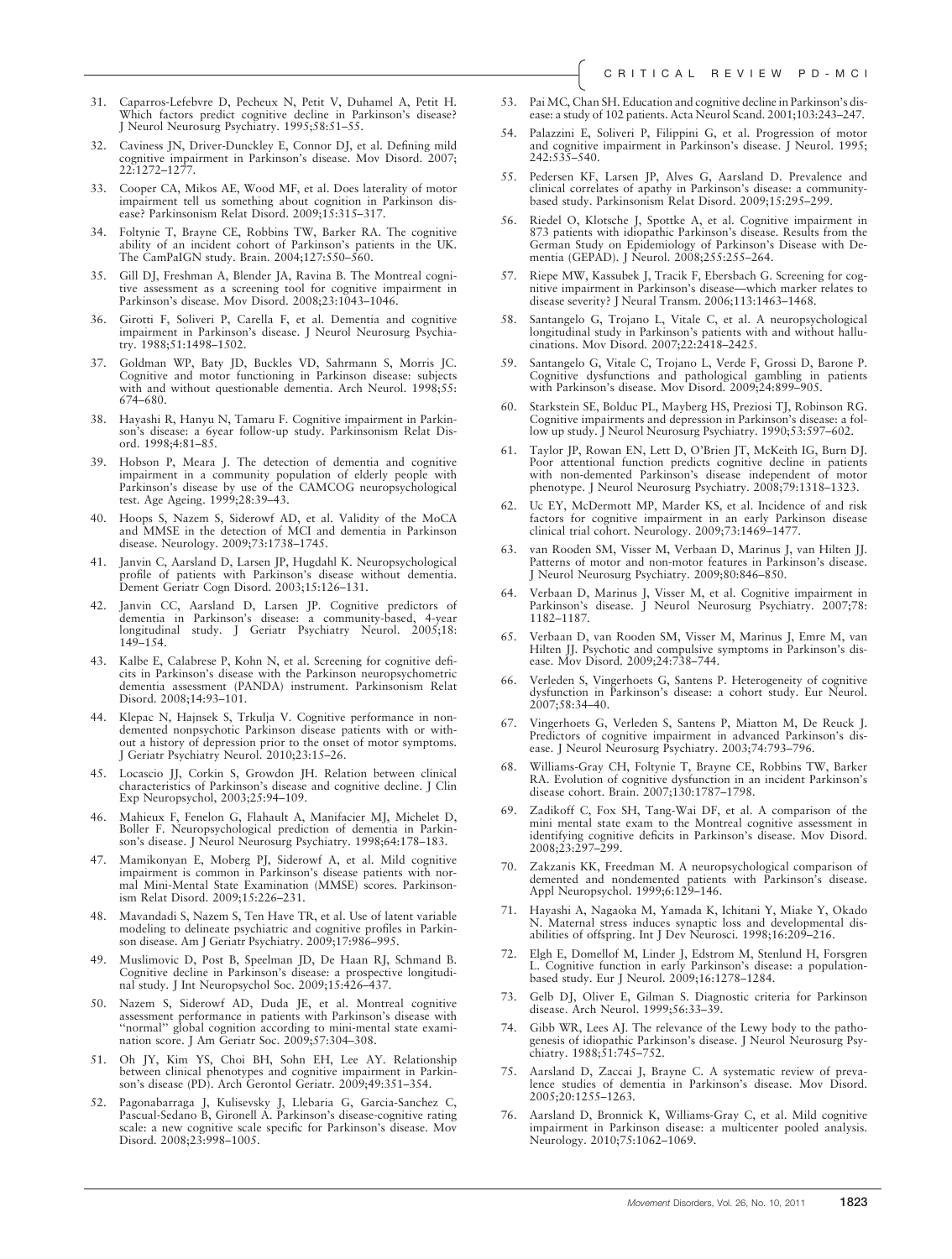- 31. Caparros-Lefebvre D, Pecheux N, Petit V, Duhamel A, Petit H. Which factors predict cognitive decline in Parkinson's disease? J Neurol Neurosurg Psychiatry. 1995;58:51–55.
- 32. Caviness JN, Driver-Dunckley E, Connor DJ, et al. Defining mild cognitive impairment in Parkinson's disease. Mov Disord. 2007; 22:1272–1277.
- 33. Cooper CA, Mikos AE, Wood MF, et al. Does laterality of motor impairment tell us something about cognition in Parkinson disease? Parkinsonism Relat Disord. 2009;15:315–317.
- 34. Foltynie T, Brayne CE, Robbins TW, Barker RA. The cognitive ability of an incident cohort of Parkinson's patients in the UK. The CamPaIGN study. Brain. 2004;127:550–560.
- 35. Gill DJ, Freshman A, Blender JA, Ravina B. The Montreal cognitive assessment as a screening tool for cognitive impairment in Parkinson's disease. Mov Disord. 2008;23:1043–1046.
- 36. Girotti F, Soliveri P, Carella F, et al. Dementia and cognitive impairment in Parkinson's disease. J Neurol Neurosurg Psychiatry. 1988;51:1498–1502.
- 37. Goldman WP, Baty JD, Buckles VD, Sahrmann S, Morris JC. Cognitive and motor functioning in Parkinson disease: subjects with and without questionable dementia. Arch Neurol. 1998;55: 674–680.
- 38. Hayashi R, Hanyu N, Tamaru F. Cognitive impairment in Parkinson's disease: a 6year follow-up study. Parkinsonism Relat Disord. 1998;4:81–85.
- 39. Hobson P, Meara J. The detection of dementia and cognitive impairment in a community population of elderly people with Parkinson's disease by use of the CAMCOG neuropsychological test. Age Ageing. 1999;28:39–43.
- 40. Hoops S, Nazem S, Siderowf AD, et al. Validity of the MoCA and MMSE in the detection of MCI and dementia in Parkinson disease. Neurology. 2009;73:1738–1745.
- 41. Janvin C, Aarsland D, Larsen JP, Hugdahl K. Neuropsychological profile of patients with Parkinson's disease without dementia. Dement Geriatr Cogn Disord. 2003;15:126–131.
- 42. Janvin CC, Aarsland D, Larsen JP. Cognitive predictors of dementia in Parkinson's disease: a community-based, 4-year longitudinal study. J Geriatr Psychiatry Neurol. 2005;18: 149–154.
- 43. Kalbe E, Calabrese P, Kohn N, et al. Screening for cognitive deficits in Parkinson's disease with the Parkinson neuropsychometric dementia assessment (PANDA) instrument. Parkinsonism Relat Disord. 2008;14:93–101.
- 44. Klepac N, Hajnsek S, Trkulja V. Cognitive performance in nondemented nonpsychotic Parkinson disease patients with or without a history of depression prior to the onset of motor symptoms. J Geriatr Psychiatry Neurol. 2010;23:15–26.
- 45. Locascio JJ, Corkin S, Growdon JH. Relation between clinical characteristics of Parkinson's disease and cognitive decline. J Clin Exp Neuropsychol, 2003;25:94–109.
- 46. Mahieux F, Fenelon G, Flahault A, Manifacier MJ, Michelet D, Boller F. Neuropsychological prediction of dementia in Parkinson's disease. J Neurol Neurosurg Psychiatry. 1998;64:178–183.
- 47. Mamikonyan E, Moberg PJ, Siderowf A, et al. Mild cognitive impairment is common in Parkinson's disease patients with normal Mini-Mental State Examination (MMSE) scores. Parkinsonism Relat Disord. 2009;15:226–231.
- 48. Mavandadi S, Nazem S, Ten Have TR, et al. Use of latent variable modeling to delineate psychiatric and cognitive profiles in Parkinson disease. Am J Geriatr Psychiatry. 2009;17:986-995.
- 49. Muslimovic D, Post B, Speelman JD, De Haan RJ, Schmand B. Cognitive decline in Parkinson's disease: a prospective longitudinal study. J Int Neuropsychol Soc. 2009;15:426–437.
- 50. Nazem S, Siderowf AD, Duda JE, et al. Montreal cognitive assessment performance in patients with Parkinson's disease with ''normal'' global cognition according to mini-mental state exami-nation score. J Am Geriatr Soc. 2009;57:304–308.
- 51. Oh JY, Kim YS, Choi BH, Sohn EH, Lee AY. Relationship between clinical phenotypes and cognitive impairment in Parkinson's disease (PD). Arch Gerontol Geriatr. 2009;49:351–354.
- 52. Pagonabarraga J, Kulisevsky J, Llebaria G, Garcia-Sanchez C, Pascual-Sedano B, Gironell A. Parkinson's disease-cognitive rating scale: a new cognitive scale specific for Parkinson's disease. Mov Disord. 2008;23:998–1005.
- 53. Pai MC, Chan SH. Education and cognitive decline in Parkinson's disease: a study of 102 patients. Acta Neurol Scand. 2001;103:243–247.
- 54. Palazzini E, Soliveri P, Filippini G, et al. Progression of motor and cognitive impairment in Parkinson's disease. J Neurol. 1995; 242:535–540.
- 55. Pedersen KF, Larsen JP, Alves G, Aarsland D. Prevalence and clinical correlates of apathy in Parkinson's disease: a communitybased study. Parkinsonism Relat Disord. 2009;15:295–299.
- 56. Riedel O, Klotsche J, Spottke A, et al. Cognitive impairment in 873 patients with idiopathic Parkinson's disease. Results from the German Study on Epidemiology of Parkinson's Disease with De-mentia (GEPAD). J Neurol. 2008;255:255–264.
- 57. Riepe MW, Kassubek J, Tracik F, Ebersbach G. Screening for cognitive impairment in Parkinson's disease—which marker relates to disease severity? J Neural Transm. 2006;113:1463–1468.
- 58. Santangelo G, Trojano L, Vitale C, et al. A neuropsychological longitudinal study in Parkinson's patients with and without hallucinations. Mov Disord. 2007;22:2418–2425.
- 59. Santangelo G, Vitale C, Trojano L, Verde F, Grossi D, Barone P. Cognitive dysfunctions and pathological gambling in patients with Parkinson's disease. Mov Disord. 2009;24:899–905.
- Starkstein SE, Bolduc PL, Mayberg HS, Preziosi TJ, Robinson RG. Cognitive impairments and depression in Parkinson's disease: a follow up study. J Neurol Neurosurg Psychiatry. 1990;53:597–602.
- 61. Taylor JP, Rowan EN, Lett D, O'Brien JT, McKeith IG, Burn DJ. Poor attentional function predicts cognitive decline in patients with non-demented Parkinson's disease independent of motor phenotype. J Neurol Neurosurg Psychiatry. 2008;79:1318–1323.
- 62. Uc EY, McDermott MP, Marder KS, et al. Incidence of and risk factors for cognitive impairment in an early Parkinson disease clinical trial cohort. Neurology. 2009;73:1469–1477.
- 63. van Rooden SM, Visser M, Verbaan D, Marinus J, van Hilten JJ. Patterns of motor and non-motor features in Parkinson's disease. J Neurol Neurosurg Psychiatry. 2009;80:846–850.
- 64. Verbaan D, Marinus J, Visser M, et al. Cognitive impairment in Parkinson's disease. J Neurol Neurosurg Psychiatry. 2007;78: 1182–1187.
- 65. Verbaan D, van Rooden SM, Visser M, Marinus J, Emre M, van Hilten JJ. Psychotic and compulsive symptoms in Parkinson's disease. Mov Disord. 2009;24:738–744.
- 66. Verleden S, Vingerhoets G, Santens P. Heterogeneity of cognitive dysfunction in Parkinson's disease: a cohort study. Eur Neurol. 2007;58:34–40.
- 67. Vingerhoets G, Verleden S, Santens P, Miatton M, De Reuck J. Predictors of cognitive impairment in advanced Parkinson's disease. J Neurol Neurosurg Psychiatry. 2003;74:793–796.
- 68. Williams-Gray CH, Foltynie T, Brayne CE, Robbins TW, Barker RA. Evolution of cognitive dysfunction in an incident Parkinson's disease cohort. Brain. 2007;130:1787–1798.
- 69. Zadikoff C, Fox SH, Tang-Wai DF, et al. A comparison of the mini mental state exam to the Montreal cognitive assessment in identifying cognitive deficits in Parkinson's disease. Mov Disord. 2008;23:297–299.
- 70. Zakzanis KK, Freedman M. A neuropsychological comparison of demented and nondemented patients with Parkinson's disease. Appl Neuropsychol. 1999;6:129–146.
- 71. Hayashi A, Nagaoka M, Yamada K, Ichitani Y, Miake Y, Okado N. Maternal stress induces synaptic loss and developmental disabilities of offspring. Int J Dev Neurosci. 1998;16:209–216.
- 72. Elgh E, Domellof M, Linder J, Edstrom M, Stenlund H, Forsgren L. Cognitive function in early Parkinson's disease: a populationbased study. Eur J Neurol. 2009;16:1278–1284.
- 73. Gelb DJ, Oliver E, Gilman S. Diagnostic criteria for Parkinson disease. Arch Neurol. 1999;56:33–39.
- 74. Gibb WR, Lees AJ. The relevance of the Lewy body to the pathogenesis of idiopathic Parkinson's disease. J Neurol Neurosurg Psychiatry. 1988;51:745–752.
- 75. Aarsland D, Zaccai J, Brayne C. A systematic review of prevalence studies of dementia in Parkinson's disease. Mov Disord. 2005;20:1255–1263.
- Aarsland D, Bronnick K, Williams-Gray C, et al. Mild cognitive impairment in Parkinson disease: a multicenter pooled analysis. Neurology. 2010;75:1062–1069.